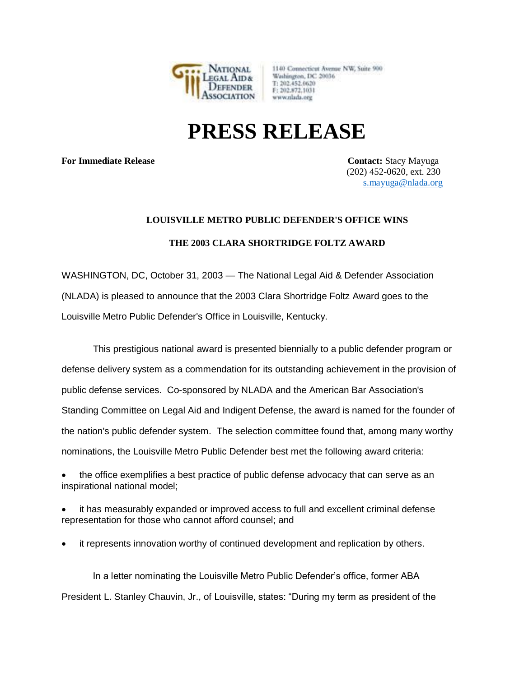

1140 Connecticut Avenue NW, Suite 900 Washington, DC 20036 T: 202.452.0620 F: 202.872.1031 www.nlada.org

## **PRESS RELEASE**

**For Immediate Release Contact:** Stacy Mayuga

 (202) 452-0620, ext. 230 [s.mayuga@nlada.org](mailto:s.mayuga@nlada.org)

## **LOUISVILLE METRO PUBLIC DEFENDER'S OFFICE WINS**

## **THE 2003 CLARA SHORTRIDGE FOLTZ AWARD**

WASHINGTON, DC, October 31, 2003 — The National Legal Aid & Defender Association (NLADA) is pleased to announce that the 2003 Clara Shortridge Foltz Award goes to the Louisville Metro Public Defender's Office in Louisville, Kentucky.

 This prestigious national award is presented biennially to a public defender program or defense delivery system as a commendation for its outstanding achievement in the provision of public defense services. Co-sponsored by NLADA and the American Bar Association's Standing Committee on Legal Aid and Indigent Defense, the award is named for the founder of the nation's public defender system. The selection committee found that, among many worthy nominations, the Louisville Metro Public Defender best met the following award criteria:

the office exemplifies a best practice of public defense advocacy that can serve as an inspirational national model;

it has measurably expanded or improved access to full and excellent criminal defense representation for those who cannot afford counsel; and

• it represents innovation worthy of continued development and replication by others.

 In a letter nominating the Louisville Metro Public Defender's office, former ABA President L. Stanley Chauvin, Jr., of Louisville, states: "During my term as president of the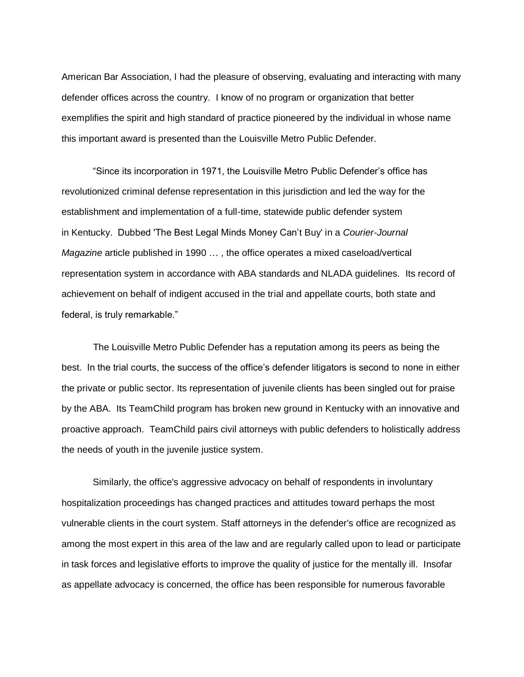American Bar Association, I had the pleasure of observing, evaluating and interacting with many defender offices across the country. I know of no program or organization that better exemplifies the spirit and high standard of practice pioneered by the individual in whose name this important award is presented than the Louisville Metro Public Defender.

 "Since its incorporation in 1971, the Louisville Metro Public Defender's office has revolutionized criminal defense representation in this jurisdiction and led the way for the establishment and implementation of a full-time, statewide public defender system in Kentucky. Dubbed 'The Best Legal Minds Money Can't Buy' in a *Courier-Journal Magazine* article published in 1990 … , the office operates a mixed caseload/vertical representation system in accordance with ABA standards and NLADA guidelines. Its record of achievement on behalf of indigent accused in the trial and appellate courts, both state and federal, is truly remarkable."

 The Louisville Metro Public Defender has a reputation among its peers as being the best. In the trial courts, the success of the office's defender litigators is second to none in either the private or public sector. Its representation of juvenile clients has been singled out for praise by the ABA. Its TeamChild program has broken new ground in Kentucky with an innovative and proactive approach. TeamChild pairs civil attorneys with public defenders to holistically address the needs of youth in the juvenile justice system.

 Similarly, the office's aggressive advocacy on behalf of respondents in involuntary hospitalization proceedings has changed practices and attitudes toward perhaps the most vulnerable clients in the court system. Staff attorneys in the defender's office are recognized as among the most expert in this area of the law and are regularly called upon to lead or participate in task forces and legislative efforts to improve the quality of justice for the mentally ill. Insofar as appellate advocacy is concerned, the office has been responsible for numerous favorable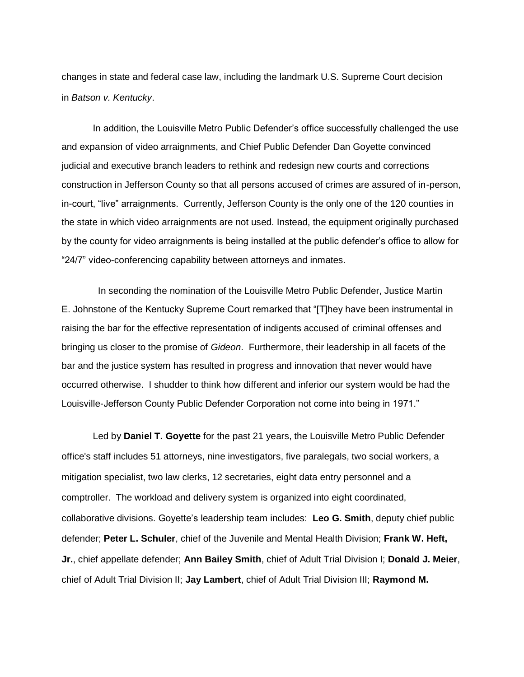changes in state and federal case law, including the landmark U.S. Supreme Court decision in *Batson v. Kentucky*.

 In addition, the Louisville Metro Public Defender's office successfully challenged the use and expansion of video arraignments, and Chief Public Defender Dan Goyette convinced judicial and executive branch leaders to rethink and redesign new courts and corrections construction in Jefferson County so that all persons accused of crimes are assured of in-person, in-court, "live" arraignments. Currently, Jefferson County is the only one of the 120 counties in the state in which video arraignments are not used. Instead, the equipment originally purchased by the county for video arraignments is being installed at the public defender's office to allow for "24/7" video-conferencing capability between attorneys and inmates.

 In seconding the nomination of the Louisville Metro Public Defender, Justice Martin E. Johnstone of the Kentucky Supreme Court remarked that "[T]hey have been instrumental in raising the bar for the effective representation of indigents accused of criminal offenses and bringing us closer to the promise of *Gideon*. Furthermore, their leadership in all facets of the bar and the justice system has resulted in progress and innovation that never would have occurred otherwise. I shudder to think how different and inferior our system would be had the Louisville-Jefferson County Public Defender Corporation not come into being in 1971."

 Led by **Daniel T. Goyette** for the past 21 years, the Louisville Metro Public Defender office's staff includes 51 attorneys, nine investigators, five paralegals, two social workers, a mitigation specialist, two law clerks, 12 secretaries, eight data entry personnel and a comptroller. The workload and delivery system is organized into eight coordinated, collaborative divisions. Goyette's leadership team includes: **Leo G. Smith**, deputy chief public defender; **Peter L. Schuler**, chief of the Juvenile and Mental Health Division; **Frank W. Heft, Jr.**, chief appellate defender; **Ann Bailey Smith**, chief of Adult Trial Division I; **Donald J. Meier**, chief of Adult Trial Division II; **Jay Lambert**, chief of Adult Trial Division III; **Raymond M.**